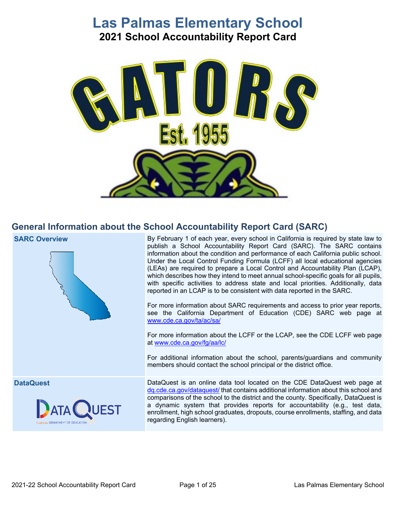# **Las Palmas Elementary School 2021 School Accountability Report Card**



# **General Information about the School Accountability Report Card (SARC)**

**SARC Overview** 



**DataQuest** 



 Under the Local Control Funding Formula (LCFF) all local educational agencies reported in an LCAP is to be consistent with data reported in the SARC. By February 1 of each year, every school in California is required by state law to publish a School Accountability Report Card (SARC). The SARC contains information about the condition and performance of each California public school. (LEAs) are required to prepare a Local Control and Accountability Plan (LCAP), which describes how they intend to meet annual school-specific goals for all pupils, with specific activities to address state and local priorities. Additionally, data

For more information about SARC requirements and access to prior year reports, see the California Department of Education (CDE) SARC web page at [www.cde.ca.gov/ta/ac/sa/](https://www.cde.ca.gov/ta/ac/sa/)

For more information about the LCFF or the LCAP, see the CDE LCFF web page at [www.cde.ca.gov/fg/aa/lc/](https://www.cde.ca.gov/fg/aa/lc/) 

For additional information about the school, parents/guardians and community members should contact the school principal or the district office.

 enrollment, high school graduates, dropouts, course enrollments, staffing, and data DataQuest is an online data tool located on the CDE DataQuest web page at [dq.cde.ca.gov/dataquest/](https://dq.cde.ca.gov/dataquest/) that contains additional information about this school and comparisons of the school to the district and the county. Specifically, DataQuest is a dynamic system that provides reports for accountability (e.g., test data, regarding English learners).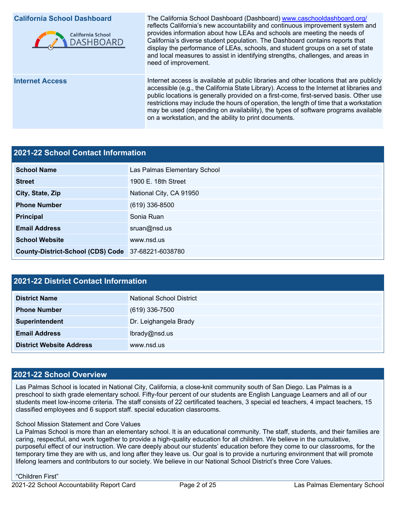### **California School Dashboard**



**Internet Access** 

 California's diverse student population. The Dashboard contains reports that The California School Dashboard (Dashboard) [www.caschooldashboard.org/](http://www.caschooldashboard.org/)  reflects California's new accountability and continuous improvement system and provides information about how LEAs and schools are meeting the needs of display the performance of LEAs, schools, and student groups on a set of state and local measures to assist in identifying strengths, challenges, and areas in need of improvement.

Internet access is available at public libraries and other locations that are publicly accessible (e.g., the California State Library). Access to the Internet at libraries and public locations is generally provided on a first-come, first-served basis. Other use restrictions may include the hours of operation, the length of time that a workstation may be used (depending on availability), the types of software programs available on a workstation, and the ability to print documents.

# **2021-22 School Contact Information**

| <b>School Name</b>                                 | Las Palmas Elementary School |  |  |  |
|----------------------------------------------------|------------------------------|--|--|--|
| <b>Street</b>                                      | 1900 E. 18th Street          |  |  |  |
| City, State, Zip                                   | National City, CA 91950      |  |  |  |
| <b>Phone Number</b>                                | $(619)$ 336-8500             |  |  |  |
| Principal                                          | Sonia Ruan                   |  |  |  |
| <b>Email Address</b>                               | sruan@nsd.us                 |  |  |  |
| <b>School Website</b>                              | www.nsd.us                   |  |  |  |
| County-District-School (CDS) Code 37-68221-6038780 |                              |  |  |  |

# **2021-22 District Contact Information**

| <b>District Name</b>            | National School District |  |  |  |
|---------------------------------|--------------------------|--|--|--|
| <b>Phone Number</b>             | $(619)$ 336-7500         |  |  |  |
| Superintendent                  | Dr. Leighangela Brady    |  |  |  |
| <b>Email Address</b>            | lbrady@nsd.us            |  |  |  |
| <b>District Website Address</b> | www.nsd.us               |  |  |  |

# **2021-22 School Overview**

 Las Palmas School is located in National City, California, a close-knit community south of San Diego. Las Palmas is a preschool to sixth grade elementary school. Fifty-four percent of our students are English Language Learners and all of our students meet low-income criteria. The staff consists of 22 certificated teachers, 3 special ed teachers, 4 impact teachers, 15 classified employees and 6 support staff. special education classrooms.

#### School Mission Statement and Core Values

 caring, respectful, and work together to provide a high-quality education for all children. We believe in the cumulative, purposeful effect of our instruction. We care deeply about our students' education before they come to our classrooms, for the temporary time they are with us, and long after they leave us. Our goal is to provide a nurturing environment that will promote lifelong learners and contributors to our society. We believe in our National School District's three Core Values. La Palmas School is more than an elementary school. It is an educational community. The staff, students, and their families are

#### "Children First"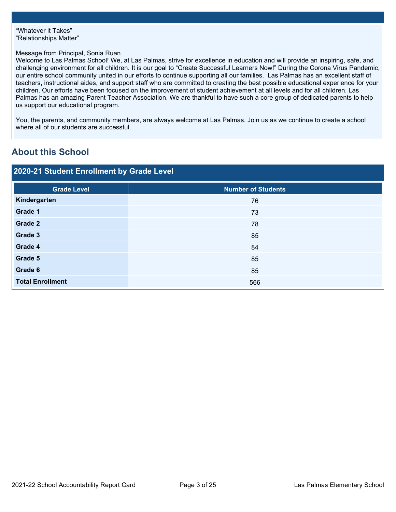### Message from Principal, Sonia Ruan

Welcome to Las Palmas School! We, at Las Palmas, strive for excellence in education and will provide an inspiring, safe, and challenging environment for all children. It is our goal to "Create Successful Learners Now!" During the Corona Virus Pandemic, our entire school community united in our efforts to continue supporting all our families. Las Palmas has an excellent staff of teachers, instructional aides, and support staff who are committed to creating the best possible educational experience for your children. Our efforts have been focused on the improvement of student achievement at all levels and for all children. Las Palmas has an amazing Parent Teacher Association. We are thankful to have such a core group of dedicated parents to help us support our educational program.

You, the parents, and community members, are always welcome at Las Palmas. Join us as we continue to create a school where all of our students are successful.

# **About this School**

| 2020-21 Student Enrollment by Grade Level |                                              |  |  |  |
|-------------------------------------------|----------------------------------------------|--|--|--|
| <b>Grade Level</b>                        | <b>Number of Students</b>                    |  |  |  |
| Kindergarten                              | 76                                           |  |  |  |
| Grade 1                                   | 73                                           |  |  |  |
| Grade 2                                   | 78                                           |  |  |  |
| Grade 3                                   | 85                                           |  |  |  |
| Grade 4                                   | 84                                           |  |  |  |
| Grade 5                                   | 85                                           |  |  |  |
| Grade 6                                   | 85                                           |  |  |  |
| <b>Total Enrollment</b>                   | 566                                          |  |  |  |
|                                           |                                              |  |  |  |
| 2021-22 School Accountability Report Card | Page 3 of 25<br>Las Palmas Elementary School |  |  |  |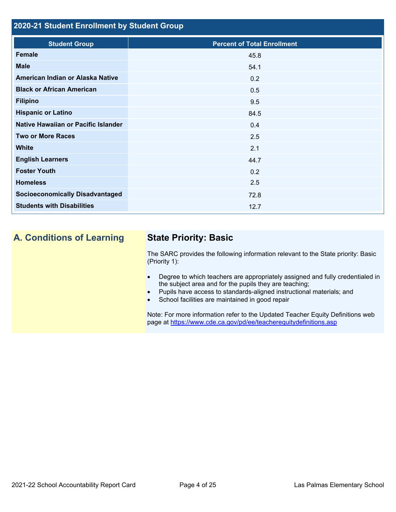# **2020-21 Student Enrollment by Student Group**

| <b>Student Group</b>                   | <b>Percent of Total Enrollment</b> |
|----------------------------------------|------------------------------------|
| <b>Female</b>                          | 45.8                               |
| <b>Male</b>                            | 54.1                               |
| American Indian or Alaska Native       | 0.2                                |
| <b>Black or African American</b>       | 0.5                                |
| <b>Filipino</b>                        | 9.5                                |
| <b>Hispanic or Latino</b>              | 84.5                               |
| Native Hawaiian or Pacific Islander    | 0.4                                |
| <b>Two or More Races</b>               | 2.5                                |
| <b>White</b>                           | 2.1                                |
| <b>English Learners</b>                | 44.7                               |
| <b>Foster Youth</b>                    | 0.2                                |
| <b>Homeless</b>                        | 2.5                                |
| <b>Socioeconomically Disadvantaged</b> | 72.8                               |
| <b>Students with Disabilities</b>      | 12.7                               |
|                                        |                                    |

# **A. Conditions of Learning State Priority: Basic**

The SARC provides the following information relevant to the State priority: Basic (Priority 1):

- Degree to which teachers are appropriately assigned and fully credentialed in the subject area and for the pupils they are teaching;
- Pupils have access to standards-aligned instructional materials; and
- School facilities are maintained in good repair

page at <https://www.cde.ca.gov/pd/ee/teacherequitydefinitions.asp> Note: For more information refer to the Updated Teacher Equity Definitions web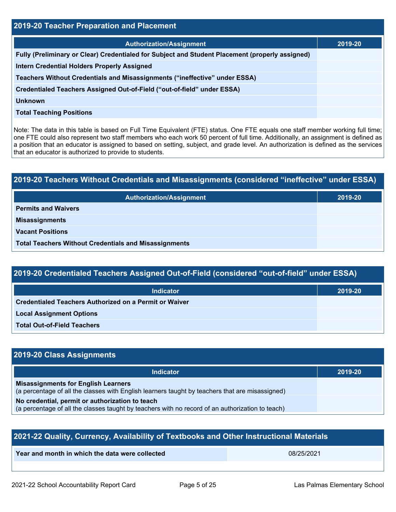| 2019-20 Teacher Preparation and Placement                                                                                                                                                                                                                                                                                                                                                                                                                         |         |  |  |
|-------------------------------------------------------------------------------------------------------------------------------------------------------------------------------------------------------------------------------------------------------------------------------------------------------------------------------------------------------------------------------------------------------------------------------------------------------------------|---------|--|--|
| <b>Authorization/Assignment</b>                                                                                                                                                                                                                                                                                                                                                                                                                                   | 2019-20 |  |  |
| Fully (Preliminary or Clear) Credentialed for Subject and Student Placement (properly assigned)                                                                                                                                                                                                                                                                                                                                                                   |         |  |  |
| Intern Credential Holders Properly Assigned                                                                                                                                                                                                                                                                                                                                                                                                                       |         |  |  |
| Teachers Without Credentials and Misassignments ("ineffective" under ESSA)                                                                                                                                                                                                                                                                                                                                                                                        |         |  |  |
| Credentialed Teachers Assigned Out-of-Field ("out-of-field" under ESSA)                                                                                                                                                                                                                                                                                                                                                                                           |         |  |  |
| <b>Unknown</b>                                                                                                                                                                                                                                                                                                                                                                                                                                                    |         |  |  |
| <b>Total Teaching Positions</b>                                                                                                                                                                                                                                                                                                                                                                                                                                   |         |  |  |
| Note: The data in this table is based on Full Time Equivalent (FTE) status. One FTE equals one staff member working full time;<br>one FTE could also represent two staff members who each work 50 percent of full time. Additionally, an assignment is defined as<br>a position that an educator is assigned to based on setting, subject, and grade level. An authorization is defined as the services<br>that an educator is authorized to provide to students. |         |  |  |
|                                                                                                                                                                                                                                                                                                                                                                                                                                                                   |         |  |  |
| 2019-20 Teachers Without Credentials and Misassignments (considered "ineffective" under ESSA)                                                                                                                                                                                                                                                                                                                                                                     |         |  |  |
| <b>Authorization/Assignment</b>                                                                                                                                                                                                                                                                                                                                                                                                                                   | 2019-20 |  |  |
| <b>Permits and Waivers</b>                                                                                                                                                                                                                                                                                                                                                                                                                                        |         |  |  |
| <b>Misassignments</b>                                                                                                                                                                                                                                                                                                                                                                                                                                             |         |  |  |
| <b>Vacant Positions</b>                                                                                                                                                                                                                                                                                                                                                                                                                                           |         |  |  |

| 2019-20 Teachers Without Credentials and Misassignments (considered "ineffective" under ESSA) |         |  |  |
|-----------------------------------------------------------------------------------------------|---------|--|--|
| <b>Authorization/Assignment</b>                                                               | 2019-20 |  |  |
| <b>Permits and Waivers</b>                                                                    |         |  |  |
| <b>Misassignments</b>                                                                         |         |  |  |
| <b>Vacant Positions</b>                                                                       |         |  |  |
| <b>Total Teachers Without Credentials and Misassignments</b>                                  |         |  |  |

| 2019-20 Credentialed Teachers Assigned Out-of-Field (considered "out-of-field" under ESSA) |
|--------------------------------------------------------------------------------------------|
|--------------------------------------------------------------------------------------------|

| <b>Indicator</b>                                       | 2019-20 |
|--------------------------------------------------------|---------|
| Credentialed Teachers Authorized on a Permit or Waiver |         |
| <b>Local Assignment Options</b>                        |         |
| <b>Total Out-of-Field Teachers</b>                     |         |

# **2019-20 Class Assignments**

| Indicator                                                                                                                                     | 2019-20 |
|-----------------------------------------------------------------------------------------------------------------------------------------------|---------|
| <b>Misassignments for English Learners</b><br>(a percentage of all the classes with English learners taught by teachers that are misassigned) |         |
| No credential, permit or authorization to teach                                                                                               |         |
| (a percentage of all the classes taught by teachers with no record of an authorization to teach)                                              |         |

| 2021-22 Quality, Currency, Availability of Textbooks and Other Instructional Materials |            |  |  |
|----------------------------------------------------------------------------------------|------------|--|--|
| Year and month in which the data were collected                                        | 08/25/2021 |  |  |
|                                                                                        |            |  |  |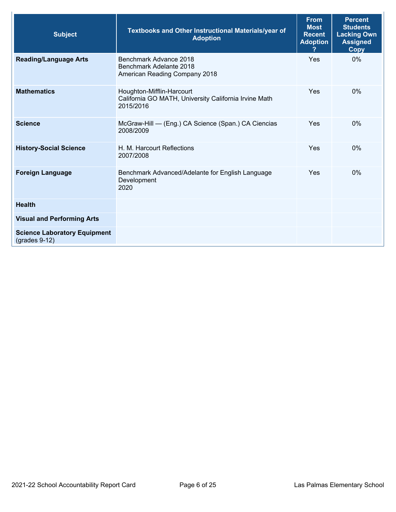| <b>Subject</b>                                         | <b>Textbooks and Other Instructional Materials/year of</b><br><b>Adoption</b>                   | <b>From</b><br><b>Most</b><br><b>Recent</b><br><b>Adoption</b> | <b>Percent</b><br><b>Students</b><br><b>Lacking Own</b><br><b>Assigned</b><br>Copy |
|--------------------------------------------------------|-------------------------------------------------------------------------------------------------|----------------------------------------------------------------|------------------------------------------------------------------------------------|
| <b>Reading/Language Arts</b>                           | Benchmark Advance 2018<br>Benchmark Adelante 2018<br>American Reading Company 2018              | Yes                                                            | $0\%$                                                                              |
| <b>Mathematics</b>                                     | Houghton-Mifflin-Harcourt<br>California GO MATH, University California Irvine Math<br>2015/2016 | Yes                                                            | $0\%$                                                                              |
| <b>Science</b>                                         | McGraw-Hill - (Eng.) CA Science (Span.) CA Ciencias<br>2008/2009                                | Yes                                                            | 0%                                                                                 |
| <b>History-Social Science</b>                          | H. M. Harcourt Reflections<br>2007/2008                                                         | Yes                                                            | $0\%$                                                                              |
| <b>Foreign Language</b>                                | Benchmark Advanced/Adelante for English Language<br>Development<br>2020                         | Yes                                                            | $0\%$                                                                              |
| <b>Health</b>                                          |                                                                                                 |                                                                |                                                                                    |
| <b>Visual and Performing Arts</b>                      |                                                                                                 |                                                                |                                                                                    |
| <b>Science Laboratory Equipment</b><br>$(grades 9-12)$ |                                                                                                 |                                                                |                                                                                    |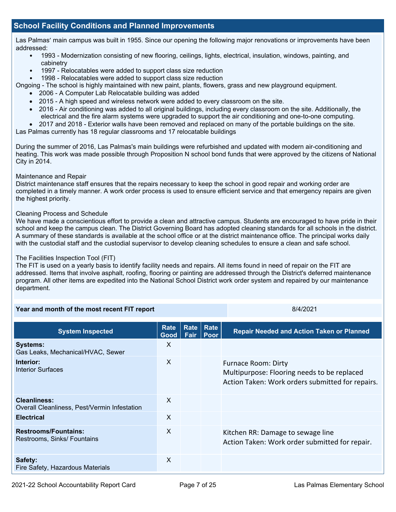# **School Facility Conditions and Planned Improvements**

 Las Palmas' main campus was built in 1955. Since our opening the following major renovations or improvements have been addressed:

- 1993 Modernization consisting of new flooring, ceilings, lights, electrical, insulation, windows, painting, and cabinetry
- 1997 Relocatables were added to support class size reduction
- 1998 Relocatables were added to support class size reduction

Ongoing - The school is highly maintained with new paint, plants, flowers, grass and new playground equipment.

- 2006 A Computer Lab Relocatable building was added
- 2015 A high speed and wireless network were added to every classroom on the site.
- 2016 Air conditioning was added to all original buildings, including every classroom on the site. Additionally, the electrical and the fire alarm systems were upgraded to support the air conditioning and one-to-one computing.
- 2017 and 2018 Exterior walls have been removed and replaced on many of the portable buildings on the site.

Las Palmas currently has 18 regular classrooms and 17 relocatable buildings

 heating. This work was made possible through Proposition N school bond funds that were approved by the citizens of National During the summer of 2016, Las Palmas's main buildings were refurbished and updated with modern air-conditioning and City in 2014.

#### Maintenance and Repair

District maintenance staff ensures that the repairs necessary to keep the school in good repair and working order are completed in a timely manner. A work order process is used to ensure efficient service and that emergency repairs are given the highest priority.

#### Cleaning Process and Schedule

 We have made a conscientious effort to provide a clean and attractive campus. Students are encouraged to have pride in their A summary of these standards is available at the school office or at the district maintenance office. The principal works daily with the custodial staff and the custodial supervisor to develop cleaning schedules to ensure a clean and safe school. school and keep the campus clean. The District Governing Board has adopted cleaning standards for all schools in the district.

#### The Facilities Inspection Tool (FIT)

 addressed. Items that involve asphalt, roofing, flooring or painting are addressed through the District's deferred maintenance program. All other items are expedited into the National School District work order system and repaired by our maintenance The FIT is used on a yearly basis to identify facility needs and repairs. All items found in need of repair on the FIT are department.

| Year and month of the most recent FIT report                        |              |  | 8/4/2021                        |                                                                                                                               |
|---------------------------------------------------------------------|--------------|--|---------------------------------|-------------------------------------------------------------------------------------------------------------------------------|
| <b>System Inspected</b>                                             | Rate<br>Good |  | Rate   Rate<br><b>Fair Poor</b> | <b>Repair Needed and Action Taken or Planned</b>                                                                              |
| <b>Systems:</b><br>Gas Leaks, Mechanical/HVAC, Sewer                | X            |  |                                 |                                                                                                                               |
| Interior:<br>Interior Surfaces                                      | X            |  |                                 | <b>Furnace Room: Dirty</b><br>Multipurpose: Flooring needs to be replaced<br>Action Taken: Work orders submitted for repairs. |
| <b>Cleanliness:</b><br>Overall Cleanliness, Pest/Vermin Infestation | X            |  |                                 |                                                                                                                               |
| <b>Electrical</b>                                                   | X            |  |                                 |                                                                                                                               |
| <b>Restrooms/Fountains:</b><br>Restrooms, Sinks/ Fountains          | X            |  |                                 | Kitchen RR: Damage to sewage line<br>Action Taken: Work order submitted for repair.                                           |
| Safety:<br>Fire Safety, Hazardous Materials                         | X            |  |                                 |                                                                                                                               |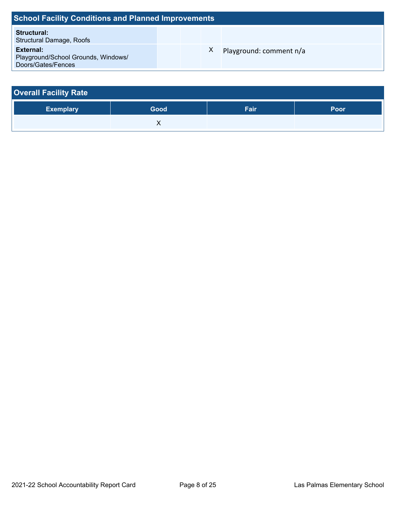| <b>School Facility Conditions and Planned Improvements</b>             |  |  |    |                         |  |  |  |
|------------------------------------------------------------------------|--|--|----|-------------------------|--|--|--|
| Structural:<br><b>Structural Damage, Roofs</b>                         |  |  |    |                         |  |  |  |
| External:<br>Playground/School Grounds, Windows/<br>Doors/Gates/Fences |  |  | X. | Playground: comment n/a |  |  |  |

| <b>Overall Facility Rate</b> |      |      |      |
|------------------------------|------|------|------|
| <b>Exemplary</b>             | Good | Fair | Poor |
|                              |      |      |      |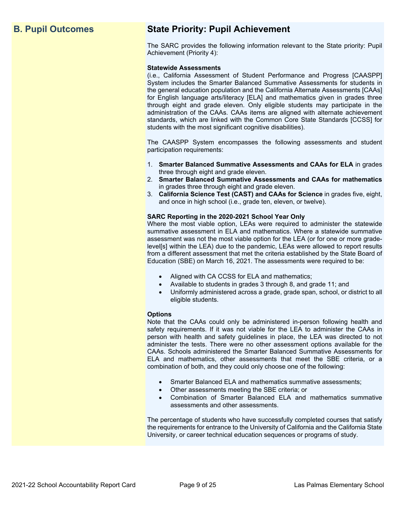# **B. Pupil Outcomes State Priority: Pupil Achievement**

The SARC provides the following information relevant to the State priority: Pupil Achievement (Priority 4):

#### **Statewide Assessments**

 (i.e., California Assessment of Student Performance and Progress [CAASPP] System includes the Smarter Balanced Summative Assessments for students in for English language arts/literacy [ELA] and mathematics given in grades three through eight and grade eleven. Only eligible students may participate in the standards, which are linked with the Common Core State Standards [CCSS] for the general education population and the California Alternate Assessments [CAAs] administration of the CAAs. CAAs items are aligned with alternate achievement students with the most significant cognitive disabilities).

The CAASPP System encompasses the following assessments and student participation requirements:

- 1. **Smarter Balanced Summative Assessments and CAAs for ELA** in grades three through eight and grade eleven.
- 2. **Smarter Balanced Summative Assessments and CAAs for mathematics**  in grades three through eight and grade eleven.
- 3. **California Science Test (CAST) and CAAs for Science** in grades five, eight, and once in high school (i.e., grade ten, eleven, or twelve).

#### **SARC Reporting in the 2020-2021 School Year Only**

Where the most viable option, LEAs were required to administer the statewide summative assessment in ELA and mathematics. Where a statewide summative assessment was not the most viable option for the LEA (or for one or more gradelevel[s] within the LEA) due to the pandemic, LEAs were allowed to report results from a different assessment that met the criteria established by the State Board of Education (SBE) on March 16, 2021. The assessments were required to be:

- Aligned with CA CCSS for ELA and mathematics;
- Available to students in grades 3 through 8, and grade 11; and
- Uniformly administered across a grade, grade span, school, or district to all eligible students.

#### **Options**

Note that the CAAs could only be administered in-person following health and safety requirements. If it was not viable for the LEA to administer the CAAs in person with health and safety guidelines in place, the LEA was directed to not administer the tests. There were no other assessment options available for the CAAs. Schools administered the Smarter Balanced Summative Assessments for ELA and mathematics, other assessments that meet the SBE criteria, or a combination of both, and they could only choose one of the following:

- Smarter Balanced ELA and mathematics summative assessments;
- Other assessments meeting the SBE criteria; or
- Combination of Smarter Balanced ELA and mathematics summative assessments and other assessments.

The percentage of students who have successfully completed courses that satisfy the requirements for entrance to the University of California and the California State University, or career technical education sequences or programs of study.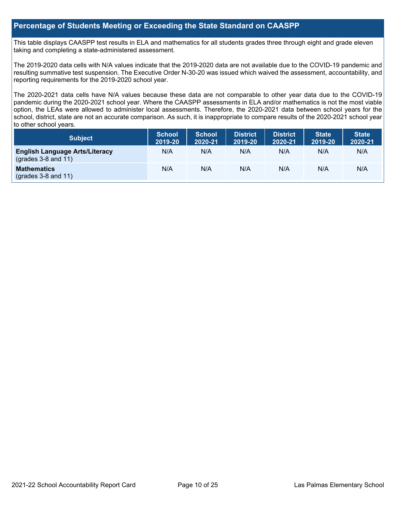# **Percentage of Students Meeting or Exceeding the State Standard on CAASPP**

 taking and completing a state-administered assessment. This table displays CAASPP test results in ELA and mathematics for all students grades three through eight and grade eleven

The 2019-2020 data cells with N/A values indicate that the 2019-2020 data are not available due to the COVID-19 pandemic and resulting summative test suspension. The Executive Order N-30-20 was issued which waived the assessment, accountability, and reporting requirements for the 2019-2020 school year.

 pandemic during the 2020-2021 school year. Where the CAASPP assessments in ELA and/or mathematics is not the most viable school, district, state are not an accurate comparison. As such, it is inappropriate to compare results of the 2020-2021 school year The 2020-2021 data cells have N/A values because these data are not comparable to other year data due to the COVID-19 option, the LEAs were allowed to administer local assessments. Therefore, the 2020-2021 data between school years for the to other school years.

| <b>Subject</b>                                                       | <b>School</b><br>2019-20 | <b>School</b><br>2020-21 | <b>District</b><br>2019-20 | <b>District</b><br>2020-21 | <b>State</b><br>2019-20 | <b>State</b><br>2020-21 |
|----------------------------------------------------------------------|--------------------------|--------------------------|----------------------------|----------------------------|-------------------------|-------------------------|
| <b>English Language Arts/Literacy</b><br>$\left($ grades 3-8 and 11) | N/A                      | N/A                      | N/A                        | N/A                        | N/A                     | N/A                     |
| <b>Mathematics</b><br>$(grades 3-8 and 11)$                          | N/A                      | N/A                      | N/A                        | N/A                        | N/A                     | N/A                     |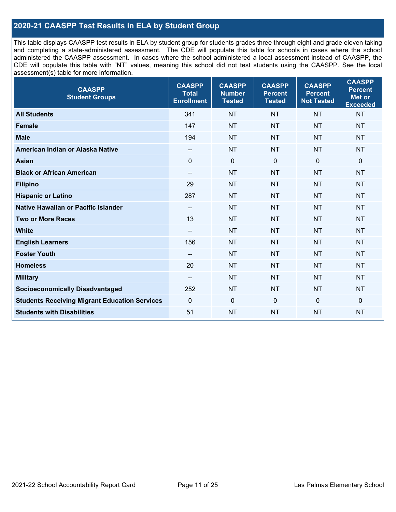# **2020-21 CAASPP Test Results in ELA by Student Group**

 and completing a state-administered assessment. The CDE will populate this table for schools in cases where the school CDE will populate this table with "NT" values, meaning this school did not test students using the CAASPP. See the local This table displays CAASPP test results in ELA by student group for students grades three through eight and grade eleven taking administered the CAASPP assessment. In cases where the school administered a local assessment instead of CAASPP, the assessment(s) table for more information.

| <b>CAASPP</b><br><b>Student Groups</b>               | <b>CAASPP</b><br><b>Total</b><br><b>Enrollment</b> | <b>CAASPP</b><br><b>Number</b><br><b>Tested</b> | <b>CAASPP</b><br><b>Percent</b><br><b>Tested</b> | <b>CAASPP</b><br><b>Percent</b><br><b>Not Tested</b> | <b>CAASPP</b><br><b>Percent</b><br>Met or<br><b>Exceeded</b> |
|------------------------------------------------------|----------------------------------------------------|-------------------------------------------------|--------------------------------------------------|------------------------------------------------------|--------------------------------------------------------------|
| <b>All Students</b>                                  | 341                                                | <b>NT</b>                                       | <b>NT</b>                                        | <b>NT</b>                                            | <b>NT</b>                                                    |
| <b>Female</b>                                        | 147                                                | <b>NT</b>                                       | <b>NT</b>                                        | <b>NT</b>                                            | <b>NT</b>                                                    |
| <b>Male</b>                                          | 194                                                | <b>NT</b>                                       | <b>NT</b>                                        | <b>NT</b>                                            | <b>NT</b>                                                    |
| American Indian or Alaska Native                     | $\overline{\phantom{a}}$                           | <b>NT</b>                                       | <b>NT</b>                                        | <b>NT</b>                                            | <b>NT</b>                                                    |
| <b>Asian</b>                                         | $\mathbf 0$                                        | $\pmb{0}$                                       | $\mathbf 0$                                      | $\mathbf 0$                                          | 0                                                            |
| <b>Black or African American</b>                     | $\overline{\phantom{a}}$                           | <b>NT</b>                                       | <b>NT</b>                                        | <b>NT</b>                                            | <b>NT</b>                                                    |
| <b>Filipino</b>                                      | 29                                                 | <b>NT</b>                                       | <b>NT</b>                                        | <b>NT</b>                                            | <b>NT</b>                                                    |
| <b>Hispanic or Latino</b>                            | 287                                                | <b>NT</b>                                       | <b>NT</b>                                        | <b>NT</b>                                            | <b>NT</b>                                                    |
| Native Hawaiian or Pacific Islander                  | $-\!$                                              | <b>NT</b>                                       | <b>NT</b>                                        | <b>NT</b>                                            | <b>NT</b>                                                    |
| <b>Two or More Races</b>                             | 13                                                 | <b>NT</b>                                       | <b>NT</b>                                        | <b>NT</b>                                            | <b>NT</b>                                                    |
| <b>White</b>                                         | $\overline{\phantom{a}}$                           | <b>NT</b>                                       | <b>NT</b>                                        | <b>NT</b>                                            | <b>NT</b>                                                    |
| <b>English Learners</b>                              | 156                                                | <b>NT</b>                                       | <b>NT</b>                                        | <b>NT</b>                                            | <b>NT</b>                                                    |
| <b>Foster Youth</b>                                  |                                                    | <b>NT</b>                                       | <b>NT</b>                                        | <b>NT</b>                                            | <b>NT</b>                                                    |
| <b>Homeless</b>                                      | 20                                                 | <b>NT</b>                                       | <b>NT</b>                                        | <b>NT</b>                                            | <b>NT</b>                                                    |
| <b>Military</b>                                      | $-\!$                                              | <b>NT</b>                                       | <b>NT</b>                                        | <b>NT</b>                                            | <b>NT</b>                                                    |
| <b>Socioeconomically Disadvantaged</b>               | 252                                                | <b>NT</b>                                       | <b>NT</b>                                        | <b>NT</b>                                            | <b>NT</b>                                                    |
| <b>Students Receiving Migrant Education Services</b> | $\mathbf 0$                                        | $\mathbf 0$                                     | $\mathbf 0$                                      | $\mathbf 0$                                          | 0                                                            |
| <b>Students with Disabilities</b>                    | 51                                                 | <b>NT</b>                                       | <b>NT</b>                                        | <b>NT</b>                                            | <b>NT</b>                                                    |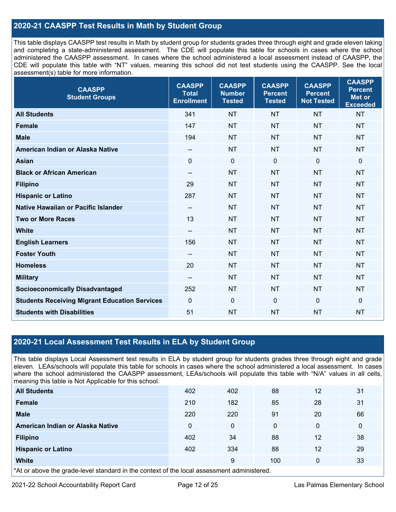# **2020-21 CAASPP Test Results in Math by Student Group**

 This table displays CAASPP test results in Math by student group for students grades three through eight and grade eleven taking and completing a state-administered assessment. The CDE will populate this table for schools in cases where the school CDE will populate this table with "NT" values, meaning this school did not test students using the CAASPP. See the local administered the CAASPP assessment. In cases where the school administered a local assessment instead of CAASPP, the assessment(s) table for more information.

| <b>CAASPP</b><br><b>Student Groups</b>               | <b>CAASPP</b><br><b>Total</b><br><b>Enrollment</b> | <b>CAASPP</b><br><b>Number</b><br><b>Tested</b> | <b>CAASPP</b><br><b>Percent</b><br><b>Tested</b> | <b>CAASPP</b><br><b>Percent</b><br><b>Not Tested</b> | <b>CAASPP</b><br><b>Percent</b><br><b>Met or</b><br><b>Exceeded</b> |
|------------------------------------------------------|----------------------------------------------------|-------------------------------------------------|--------------------------------------------------|------------------------------------------------------|---------------------------------------------------------------------|
| <b>All Students</b>                                  | 341                                                | <b>NT</b>                                       | <b>NT</b>                                        | <b>NT</b>                                            | <b>NT</b>                                                           |
| <b>Female</b>                                        | 147                                                | <b>NT</b>                                       | <b>NT</b>                                        | <b>NT</b>                                            | <b>NT</b>                                                           |
| <b>Male</b>                                          | 194                                                | <b>NT</b>                                       | <b>NT</b>                                        | <b>NT</b>                                            | <b>NT</b>                                                           |
| American Indian or Alaska Native                     | $\hspace{0.05cm}$                                  | <b>NT</b>                                       | <b>NT</b>                                        | <b>NT</b>                                            | <b>NT</b>                                                           |
| <b>Asian</b>                                         | $\mathbf 0$                                        | $\mathbf 0$                                     | $\mathbf 0$                                      | $\mathbf 0$                                          | $\mathbf 0$                                                         |
| <b>Black or African American</b>                     | $\overline{\phantom{a}}$                           | <b>NT</b>                                       | <b>NT</b>                                        | <b>NT</b>                                            | <b>NT</b>                                                           |
| <b>Filipino</b>                                      | 29                                                 | <b>NT</b>                                       | <b>NT</b>                                        | <b>NT</b>                                            | <b>NT</b>                                                           |
| <b>Hispanic or Latino</b>                            | 287                                                | <b>NT</b>                                       | <b>NT</b>                                        | <b>NT</b>                                            | <b>NT</b>                                                           |
| <b>Native Hawaiian or Pacific Islander</b>           | $-\!$ $\!-$                                        | <b>NT</b>                                       | <b>NT</b>                                        | <b>NT</b>                                            | <b>NT</b>                                                           |
| <b>Two or More Races</b>                             | 13                                                 | <b>NT</b>                                       | <b>NT</b>                                        | <b>NT</b>                                            | <b>NT</b>                                                           |
| <b>White</b>                                         | $\overline{\phantom{a}}$                           | <b>NT</b>                                       | <b>NT</b>                                        | <b>NT</b>                                            | <b>NT</b>                                                           |
| <b>English Learners</b>                              | 156                                                | <b>NT</b>                                       | <b>NT</b>                                        | <b>NT</b>                                            | <b>NT</b>                                                           |
| <b>Foster Youth</b>                                  | $\hspace{0.05cm}$                                  | <b>NT</b>                                       | <b>NT</b>                                        | <b>NT</b>                                            | <b>NT</b>                                                           |
| <b>Homeless</b>                                      | 20                                                 | <b>NT</b>                                       | <b>NT</b>                                        | <b>NT</b>                                            | <b>NT</b>                                                           |
| <b>Military</b>                                      | --                                                 | <b>NT</b>                                       | <b>NT</b>                                        | <b>NT</b>                                            | <b>NT</b>                                                           |
| <b>Socioeconomically Disadvantaged</b>               | 252                                                | <b>NT</b>                                       | <b>NT</b>                                        | <b>NT</b>                                            | <b>NT</b>                                                           |
| <b>Students Receiving Migrant Education Services</b> | $\mathbf 0$                                        | $\mathbf 0$                                     | $\mathbf 0$                                      | 0                                                    | $\mathbf 0$                                                         |
| <b>Students with Disabilities</b>                    | 51                                                 | <b>NT</b>                                       | <b>NT</b>                                        | <b>NT</b>                                            | <b>NT</b>                                                           |

# **2020-21 Local Assessment Test Results in ELA by Student Group**

 eleven. LEAs/schools will populate this table for schools in cases where the school administered a local assessment. In cases This table displays Local Assessment test results in ELA by student group for students grades three through eight and grade where the school administered the CAASPP assessment, LEAs/schools will populate this table with "N/A" values in all cells, meaning this table is Not Applicable for this school.

| <b>All Students</b>                                                                       | 402 | 402 | 88       | 12           | 31           |
|-------------------------------------------------------------------------------------------|-----|-----|----------|--------------|--------------|
| <b>Female</b>                                                                             | 210 | 182 | 85       | 28           | 31           |
| <b>Male</b>                                                                               | 220 | 220 | 91       | 20           | 66           |
| American Indian or Alaska Native                                                          | 0   | 0   | $\Omega$ | $\mathbf{0}$ | $\mathbf{0}$ |
| <b>Filipino</b>                                                                           | 402 | 34  | 88       | 12           | 38           |
| <b>Hispanic or Latino</b>                                                                 | 402 | 334 | 88       | 12           | 29           |
| <b>White</b>                                                                              |     | 9   | 100      | $\Omega$     | 33           |
| the or above the arade lovel standard in the context of the legal accessment administered |     |     |          |              |              |

\*At or above the grade-level standard in the context of the local assessment administered.

2021-22 School Accountability Report Card **Page 12 of 25** Page 12 of 25 Las Palmas Elementary School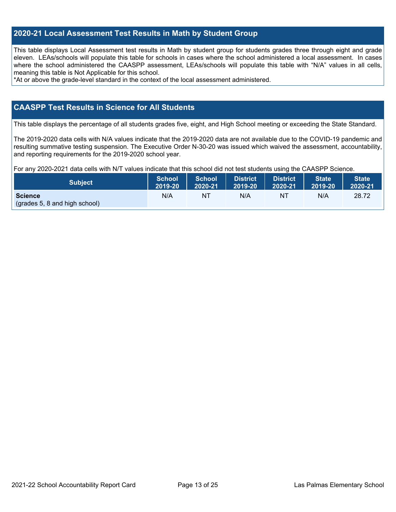# **2020-21 Local Assessment Test Results in Math by Student Group**

 This table displays Local Assessment test results in Math by student group for students grades three through eight and grade eleven. LEAs/schools will populate this table for schools in cases where the school administered a local assessment. In cases where the school administered the CAASPP assessment, LEAs/schools will populate this table with "N/A" values in all cells, meaning this table is Not Applicable for this school.

\*At or above the grade-level standard in the context of the local assessment administered.

### **CAASPP Test Results in Science for All Students**

This table displays the percentage of all students grades five, eight, and High School meeting or exceeding the State Standard.

 resulting summative testing suspension. The Executive Order N-30-20 was issued which waived the assessment, accountability, and reporting requirements for the 2019-2020 school year. The 2019-2020 data cells with N/A values indicate that the 2019-2020 data are not available due to the COVID-19 pandemic and

For any 2020-2021 data cells with N/T values indicate that this school did not test students using the CAASPP Science.

| <b>Subject</b>                                  | <b>School</b> | <b>School</b> | <b>District</b> | District | <b>State</b> | <b>State</b> |
|-------------------------------------------------|---------------|---------------|-----------------|----------|--------------|--------------|
|                                                 | 2019-20       | 2020-21       | 12019-20        | 2020-21  | 2019-20      | 2020-21      |
| <b>Science</b><br>(grades 5, 8 and high school) | N/A           | ΝT            | N/A             | NT       | N/A          | 28.72        |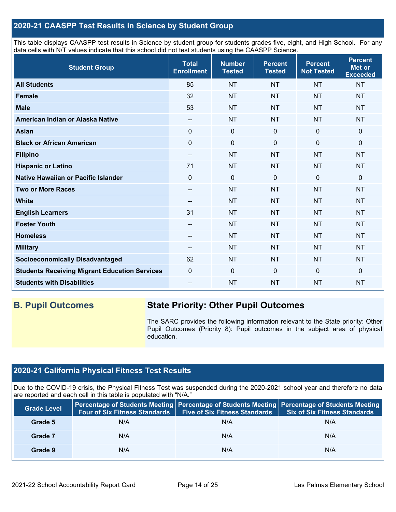# **2020-21 CAASPP Test Results in Science by Student Group**

 This table displays CAASPP test results in Science by student group for students grades five, eight, and High School. For any data cells with N/T values indicate that this school did not test students using the CAASPP Science.

| <b>Student Group</b>                                 | <b>Total</b><br><b>Enrollment</b> | <b>Number</b><br><b>Tested</b> | <b>Percent</b><br><b>Tested</b> | <b>Percent</b><br><b>Not Tested</b> | <b>Percent</b><br><b>Met or</b><br><b>Exceeded</b> |
|------------------------------------------------------|-----------------------------------|--------------------------------|---------------------------------|-------------------------------------|----------------------------------------------------|
| <b>All Students</b>                                  | 85                                | <b>NT</b>                      | <b>NT</b>                       | <b>NT</b>                           | <b>NT</b>                                          |
| <b>Female</b>                                        | 32                                | <b>NT</b>                      | <b>NT</b>                       | <b>NT</b>                           | <b>NT</b>                                          |
| <b>Male</b>                                          | 53                                | <b>NT</b>                      | <b>NT</b>                       | <b>NT</b>                           | <b>NT</b>                                          |
| American Indian or Alaska Native                     | $\overline{\phantom{a}}$          | <b>NT</b>                      | <b>NT</b>                       | <b>NT</b>                           | <b>NT</b>                                          |
| <b>Asian</b>                                         | $\mathbf 0$                       | $\mathbf 0$                    | $\mathbf 0$                     | $\mathbf 0$                         | 0                                                  |
| <b>Black or African American</b>                     | $\mathbf 0$                       | $\mathbf 0$                    | $\mathbf 0$                     | 0                                   | $\mathbf 0$                                        |
| <b>Filipino</b>                                      | $\qquad \qquad -$                 | <b>NT</b>                      | <b>NT</b>                       | <b>NT</b>                           | <b>NT</b>                                          |
| <b>Hispanic or Latino</b>                            | 71                                | <b>NT</b>                      | <b>NT</b>                       | <b>NT</b>                           | <b>NT</b>                                          |
| Native Hawaiian or Pacific Islander                  | $\Omega$                          | $\mathbf{0}$                   | $\mathbf{0}$                    | $\mathbf 0$                         | $\mathbf{0}$                                       |
| <b>Two or More Races</b>                             | $-$                               | <b>NT</b>                      | <b>NT</b>                       | <b>NT</b>                           | <b>NT</b>                                          |
| <b>White</b>                                         | $-$                               | <b>NT</b>                      | <b>NT</b>                       | <b>NT</b>                           | <b>NT</b>                                          |
| <b>English Learners</b>                              | 31                                | <b>NT</b>                      | <b>NT</b>                       | <b>NT</b>                           | <b>NT</b>                                          |
| <b>Foster Youth</b>                                  | $-\!$                             | <b>NT</b>                      | <b>NT</b>                       | <b>NT</b>                           | <b>NT</b>                                          |
| <b>Homeless</b>                                      | $\overline{\phantom{a}}$          | <b>NT</b>                      | <b>NT</b>                       | <b>NT</b>                           | <b>NT</b>                                          |
| <b>Military</b>                                      | --                                | <b>NT</b>                      | <b>NT</b>                       | <b>NT</b>                           | <b>NT</b>                                          |
| <b>Socioeconomically Disadvantaged</b>               | 62                                | <b>NT</b>                      | <b>NT</b>                       | <b>NT</b>                           | <b>NT</b>                                          |
| <b>Students Receiving Migrant Education Services</b> | $\mathbf 0$                       | $\mathbf 0$                    | $\mathbf{0}$                    | $\mathbf 0$                         | $\mathbf 0$                                        |
| <b>Students with Disabilities</b>                    | --                                | <b>NT</b>                      | <b>NT</b>                       | <b>NT</b>                           | <b>NT</b>                                          |

# **B. Pupil Outcomes State Priority: Other Pupil Outcomes**

 Pupil Outcomes (Priority 8): Pupil outcomes in the subject area of physical The SARC provides the following information relevant to the State priority: Other education.

# **2020-21 California Physical Fitness Test Results**

 Due to the COVID-19 crisis, the Physical Fitness Test was suspended during the 2020-2021 school year and therefore no data are reported and each cell in this table is populated with "N/A."

| <b>Grade Level</b> | <b>Four of Six Fitness Standards</b> | <b>Five of Six Fitness Standards</b> | Percentage of Students Meeting   Percentage of Students Meeting   Percentage of Students Meeting<br><b>Six of Six Fitness Standards</b> |
|--------------------|--------------------------------------|--------------------------------------|-----------------------------------------------------------------------------------------------------------------------------------------|
| Grade 5            | N/A                                  | N/A                                  | N/A                                                                                                                                     |
| Grade 7            | N/A                                  | N/A                                  | N/A                                                                                                                                     |
| Grade 9            | N/A                                  | N/A                                  | N/A                                                                                                                                     |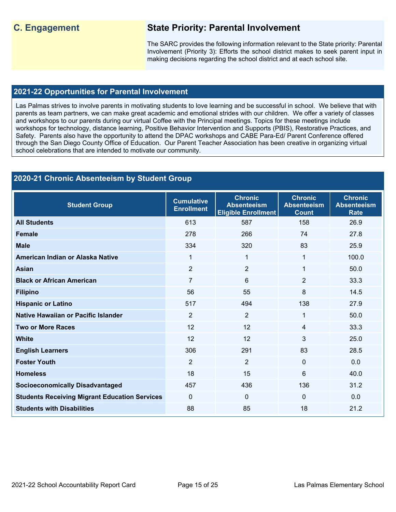# **C. Engagement State Priority: Parental Involvement**

The SARC provides the following information relevant to the State priority: Parental Involvement (Priority 3): Efforts the school district makes to seek parent input in making decisions regarding the school district and at each school site.

# **2021-22 Opportunities for Parental Involvement**

 Las Palmas strives to involve parents in motivating students to love learning and be successful in school. We believe that with parents as team partners, we can make great academic and emotional strides with our children. We offer a variety of classes Safety. Parents also have the opportunity to attend the DPAC workshops and CABE Para-Ed/ Parent Conference offered through the San Diego County Office of Education. Our Parent Teacher Association has been creative in organizing virtual and workshops to our parents during our virtual Coffee with the Principal meetings. Topics for these meetings include workshops for technology, distance learning, Positive Behavior Intervention and Supports (PBIS), Restorative Practices, and school celebrations that are intended to motivate our community.

#### **Foster Youth 2020-21 Chronic Absenteeism by Student Group Student Group Cumulative Enrollment Chronic Absenteeism Eligible Enrollment Chronic Absenteeism Count Chronic Absenteeism Rate All Students** 613 587 158 26.9 **Female** 278 266 74 27.8 **Male** 334 320 83 25.9 **American Indian or Alaska Native**  1 1 1 100.0 **Asian** 2 2 1 50.0 **Black or African American**  7 33.3 **6** 2 33.3 **Filipino** 56 55 8 14.5 **Hispanic or Latino 27.9 138 27.9 138 27.9 Native Hawaiian or Pacific Islander**  2 2 2 1 50.0 **Two or More Races** 23.3.3 **12** 12 12 3 25.0 **English Learners 1988** 28.5 **28.5** 28.5 **29.5** 28.5 **28.6** 291 **Foster Youth** 2 2 0 0.0 **Homeless** 18 15 6 40.0 **Socioeconomically Disadvantaged 157 136 136 136 136 136 137 136 137 136 137 136 137 136 137 136 131.2 Students Receiving Migrant Education Services** 0 0 0 0.0 **Students with Disabilities**  88 85 18 21.2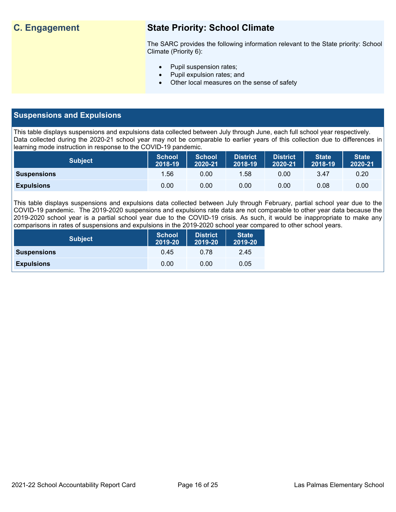# **C. Engagement State Priority: School Climate**

 The SARC provides the following information relevant to the State priority: School Climate (Priority 6):

- Pupil suspension rates;
- Pupil expulsion rates; and
- Other local measures on the sense of safety

# **Suspensions and Expulsions**

This table displays suspensions and expulsions data collected between July through June, each full school year respectively. This table displays suspensions and expulsions data collected between July through June, each full school year respectively.<br>Data collected during the 2020-21 school year may not be comparable to earlier years of this coll learning mode instruction in response to the COVID-19 pandemic.

| <b>Subject</b>     | <b>School</b><br>2018-19 | <b>School</b><br>2020-21 | <b>District</b><br>2018-19 | <b>District</b><br>2020-21 | <b>State</b><br>2018-19 | <b>State</b><br>2020-21 |
|--------------------|--------------------------|--------------------------|----------------------------|----------------------------|-------------------------|-------------------------|
| <b>Suspensions</b> | 1.56                     | 0.00                     | 1.58                       | 0.00                       | 3.47                    | 0.20                    |
| <b>Expulsions</b>  | 0.00                     | 0.00                     | 0.00                       | 0.00                       | 0.08                    | 0.00                    |

 2019-2020 school year is a partial school year due to the COVID-19 crisis. As such, it would be inappropriate to make any This table displays suspensions and expulsions data collected between July through February, partial school year due to the COVID-19 pandemic. The 2019-2020 suspensions and expulsions rate data are not comparable to other year data because the comparisons in rates of suspensions and expulsions in the 2019-2020 school year compared to other school years.

| <b>Subject</b>     | <b>School</b><br>2019-20 | <b>District</b><br>2019-20 | <b>State</b><br>2019-20 |
|--------------------|--------------------------|----------------------------|-------------------------|
| <b>Suspensions</b> | 0.45                     | 0.78                       | 2.45                    |
| <b>Expulsions</b>  | 0.00                     | 0.00                       | 0.05                    |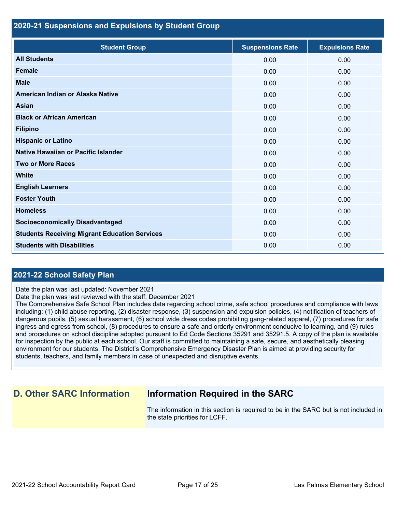## **2020-21 Suspensions and Expulsions by Student Group**

| <b>Student Group</b>                                 | <b>Suspensions Rate</b> | <b>Expulsions Rate</b> |
|------------------------------------------------------|-------------------------|------------------------|
| <b>All Students</b>                                  | 0.00                    | 0.00                   |
| <b>Female</b>                                        | 0.00                    | 0.00                   |
| <b>Male</b>                                          | 0.00                    | 0.00                   |
| American Indian or Alaska Native                     | 0.00                    | 0.00                   |
| Asian                                                | 0.00                    | 0.00                   |
| <b>Black or African American</b>                     | 0.00                    | 0.00                   |
| <b>Filipino</b>                                      | 0.00                    | 0.00                   |
| <b>Hispanic or Latino</b>                            | 0.00                    | 0.00                   |
| Native Hawaiian or Pacific Islander                  | 0.00                    | 0.00                   |
| <b>Two or More Races</b>                             | 0.00                    | 0.00                   |
| <b>White</b>                                         | 0.00                    | 0.00                   |
| <b>English Learners</b>                              | 0.00                    | 0.00                   |
| <b>Foster Youth</b>                                  | 0.00                    | 0.00                   |
| <b>Homeless</b>                                      | 0.00                    | 0.00                   |
| <b>Socioeconomically Disadvantaged</b>               | 0.00                    | 0.00                   |
| <b>Students Receiving Migrant Education Services</b> | 0.00                    | 0.00                   |
| <b>Students with Disabilities</b>                    | 0.00                    | 0.00                   |

# **2021-22 School Safety Plan**

Date the plan was last updated: November 2021

Date the plan was last reviewed with the staff: December 2021

The Comprehensive Safe School Plan includes data regarding school crime, safe school procedures and compliance with laws including: (1) child abuse reporting, (2) disaster response, (3) suspension and expulsion policies, (4) notification of teachers of dangerous pupils, (5) sexual harassment, (6) school wide dress codes prohibiting gang-related apparel, (7) procedures for safe ingress and egress from school, (8) procedures to ensure a safe and orderly environment conducive to learning, and (9) rules and procedures on school discipline adopted pursuant to Ed Code Sections 35291 and 35291.5. A copy of the plan is available for inspection by the public at each school. Our staff is committed to maintaining a safe, secure, and aesthetically pleasing environment for our students. The District's Comprehensive Emergency Disaster Plan is aimed at providing security for students, teachers, and family members in case of unexpected and disruptive events.

# **D. Other SARC Information Information Required in the SARC**

 The information in this section is required to be in the SARC but is not included in the state priorities for LCFF.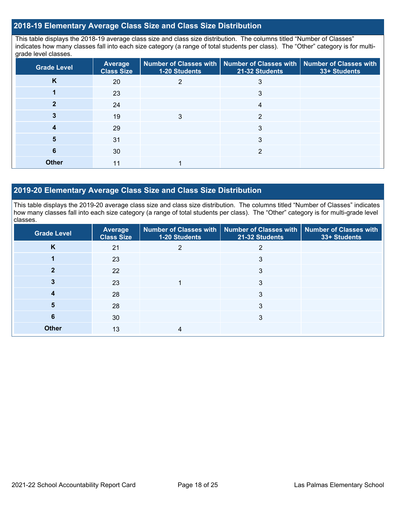# **2018-19 Elementary Average Class Size and Class Size Distribution**

 indicates how many classes fall into each size category (a range of total students per class). The "Other" category is for multi-This table displays the 2018-19 average class size and class size distribution. The columns titled "Number of Classes" grade level classes.

| <b>Grade Level</b> | Average<br><b>Class Size</b> | 1-20 Students | Number of Classes with   Number of Classes with   Number of Classes with<br>21-32 Students | 33+ Students |
|--------------------|------------------------------|---------------|--------------------------------------------------------------------------------------------|--------------|
| K                  | 20                           |               |                                                                                            |              |
|                    | 23                           |               | 3                                                                                          |              |
|                    | 24                           |               | 4                                                                                          |              |
|                    | 19                           |               | ◠                                                                                          |              |
|                    | 29                           |               | 3                                                                                          |              |
|                    | 31                           |               |                                                                                            |              |
| 6                  | 30                           |               |                                                                                            |              |
| <b>Other</b>       | 11                           |               |                                                                                            |              |

# **2019-20 Elementary Average Class Size and Class Size Distribution**

This table displays the 2019-20 average class size and class size distribution. The columns titled "Number of Classes" indicates how many classes fall into each size category (a range of total students per class). The "Other" category is for multi-grade level classes.

| <b>Grade Level</b> | <b>Average</b><br><b>Class Size</b> | 1-20 Students | Number of Classes with   Number of Classes with   Number of Classes with<br>21-32 Students | 33+ Students |
|--------------------|-------------------------------------|---------------|--------------------------------------------------------------------------------------------|--------------|
| K                  | 21                                  |               |                                                                                            |              |
|                    | 23                                  |               | 3                                                                                          |              |
|                    | 22                                  |               | 3                                                                                          |              |
|                    | 23                                  |               | 3                                                                                          |              |
|                    | 28                                  |               | 3                                                                                          |              |
| 5                  | 28                                  |               | 3                                                                                          |              |
| 6                  | 30                                  |               | 3                                                                                          |              |
| <b>Other</b>       | 13                                  |               |                                                                                            |              |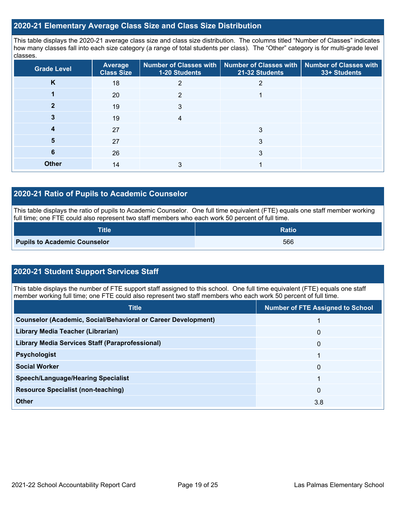## **2020-21 Elementary Average Class Size and Class Size Distribution**

This table displays the 2020-21 average class size and class size distribution. The columns titled "Number of Classes" indicates how many classes fall into each size category (a range of total students per class). The "Other" category is for multi-grade level classes.

| <b>Grade Level</b> | Average<br><b>Class Size</b> | 1-20 Students | Number of Classes with   Number of Classes with   Number of Classes with<br>21-32 Students | 33+ Students |
|--------------------|------------------------------|---------------|--------------------------------------------------------------------------------------------|--------------|
| K                  | 18                           |               |                                                                                            |              |
|                    | 20                           | າ             |                                                                                            |              |
|                    | 19                           | 3             |                                                                                            |              |
|                    | 19                           |               |                                                                                            |              |
|                    | 27                           |               | 3                                                                                          |              |
| 5                  | 27                           |               | 3                                                                                          |              |
| 6                  | 26                           |               | 3                                                                                          |              |
| <b>Other</b>       | 14                           |               |                                                                                            |              |

# **2020-21 Ratio of Pupils to Academic Counselor**

This table displays the ratio of pupils to Academic Counselor. One full time equivalent (FTE) equals one staff member working full time; one FTE could also represent two staff members who each work 50 percent of full time.

| <b>Title</b>                        | <b>Ratio</b> |
|-------------------------------------|--------------|
| <b>Pupils to Academic Counselor</b> | 566          |

# **2020-21 Student Support Services Staff**

This table displays the number of FTE support staff assigned to this school. One full time equivalent (FTE) equals one staff member working full time; one FTE could also represent two staff members who each work 50 percent of full time.

| <b>Title</b>                                                         | <b>Number of FTE Assigned to School</b> |
|----------------------------------------------------------------------|-----------------------------------------|
| <b>Counselor (Academic, Social/Behavioral or Career Development)</b> |                                         |
| Library Media Teacher (Librarian)                                    | $\Omega$                                |
| <b>Library Media Services Staff (Paraprofessional)</b>               | 0                                       |
| <b>Psychologist</b>                                                  |                                         |
| <b>Social Worker</b>                                                 | 0                                       |
| <b>Speech/Language/Hearing Specialist</b>                            |                                         |
| <b>Resource Specialist (non-teaching)</b>                            | $\Omega$                                |
| <b>Other</b>                                                         | 3.8                                     |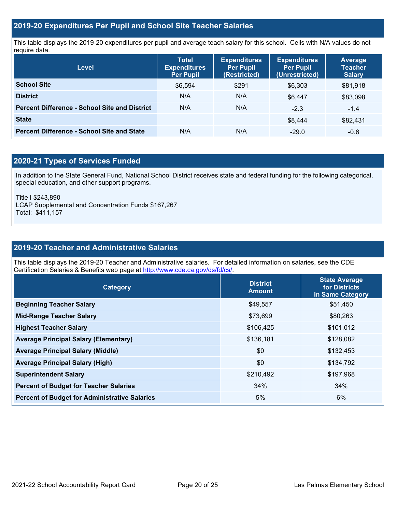# **2019-20 Expenditures Per Pupil and School Site Teacher Salaries**

 This table displays the 2019-20 expenditures per pupil and average teach salary for this school. Cells with N/A values do not require data.

| <b>Level</b>                                         | <b>Total</b><br><b>Expenditures</b><br><b>Per Pupil</b> | <b>Expenditures</b><br><b>Per Pupil</b><br>(Restricted) | <b>Expenditures</b><br><b>Per Pupil</b><br>(Unrestricted) | Average<br><b>Teacher</b><br><b>Salary</b> |
|------------------------------------------------------|---------------------------------------------------------|---------------------------------------------------------|-----------------------------------------------------------|--------------------------------------------|
| <b>School Site</b>                                   | \$6,594                                                 | \$291                                                   | \$6,303                                                   | \$81,918                                   |
| <b>District</b>                                      | N/A                                                     | N/A                                                     | \$6.447                                                   | \$83,098                                   |
| <b>Percent Difference - School Site and District</b> | N/A                                                     | N/A                                                     | $-2.3$                                                    | $-1.4$                                     |
| <b>State</b>                                         |                                                         |                                                         | \$8.444                                                   | \$82,431                                   |
| <b>Percent Difference - School Site and State</b>    | N/A                                                     | N/A                                                     | $-29.0$                                                   | $-0.6$                                     |

# **2020-21 Types of Services Funded**

In addition to the State General Fund, National School District receives state and federal funding for the following categorical, special education, and other support programs.

Title I \$243,890

LCAP Supplemental and Concentration Funds \$167,267 Total: \$411,157

# **2019-20 Teacher and Administrative Salaries**

This table displays the 2019-20 Teacher and Administrative salaries. For detailed information on salaries, see the CDE Certification Salaries & Benefits web page at<http://www.cde.ca.gov/ds/fd/cs/>.

| Category                                             | <b>District</b><br><b>Amount</b> | <b>State Average</b><br>for Districts<br>in Same Category |
|------------------------------------------------------|----------------------------------|-----------------------------------------------------------|
| <b>Beginning Teacher Salary</b>                      | \$49,557                         | \$51,450                                                  |
| <b>Mid-Range Teacher Salary</b>                      | \$73,699                         | \$80,263                                                  |
| <b>Highest Teacher Salary</b>                        | \$106,425                        | \$101,012                                                 |
| <b>Average Principal Salary (Elementary)</b>         | \$136,181                        | \$128,082                                                 |
| <b>Average Principal Salary (Middle)</b>             | \$0                              | \$132,453                                                 |
| <b>Average Principal Salary (High)</b>               | \$0                              | \$134,792                                                 |
| <b>Superintendent Salary</b>                         | \$210,492                        | \$197,968                                                 |
| <b>Percent of Budget for Teacher Salaries</b>        | 34%                              | 34%                                                       |
| <b>Percent of Budget for Administrative Salaries</b> | 5%                               | 6%                                                        |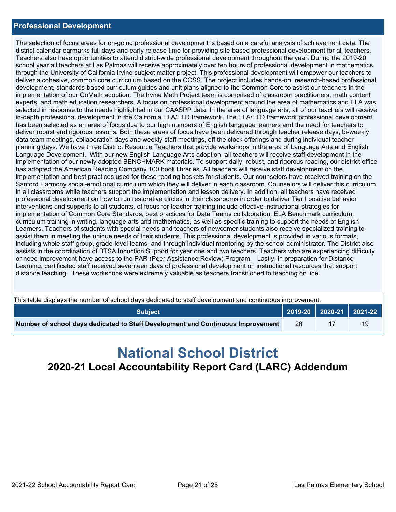## **Professional Development**

 district calendar earmarks full days and early release time for providing site-based professional development for all teachers. through the University of California Irvine subject matter project. This professional development will empower our teachers to deliver a cohesive, common core curriculum based on the CCSS. The project includes hands-on, research-based professional development, standards-based curriculum guides and unit plans aligned to the Common Core to assist our teachers in the experts, and math education researchers. A focus on professional development around the area of mathematics and ELA was in-depth professional development in the California ELA/ELD framework. The ELA/ELD framework professional development has been selected as an area of focus due to our high numbers of English language learners and the need for teachers to Language Development. With our new English Language Arts adoption, all teachers will receive staff development in the implementation and best practices used for these reading baskets for students. Our counselors have received training on the curriculum training in writing, language arts and mathematics, as well as specific training to support the needs of English assist them in meeting the unique needs of their students. This professional development is provided in various formats, The selection of focus areas for on-going professional development is based on a careful analysis of achievement data. The Teachers also have opportunities to attend district-wide professional development throughout the year. During the 2019-20 school year all teachers at Las Palmas will receive approximately over ten hours of professional development in mathematics implementation of our GoMath adoption. The Irvine Math Project team is comprised of classroom practitioners, math content selected in response to the needs highlighted in our CAASPP data. In the area of language arts, all of our teachers will receive deliver robust and rigorous lessons. Both these areas of focus have been delivered through teacher release days, bi-weekly data team meetings, collaboration days and weekly staff meetings, off the clock offerings and during individual teacher planning days. We have three District Resource Teachers that provide workshops in the area of Language Arts and English implementation of our newly adopted BENCHMARK materials. To support daily, robust, and rigorous reading, our district office has adopted the American Reading Company 100 book libraries. All teachers will receive staff development on the Sanford Harmony social-emotional curriculum which they will deliver in each classroom. Counselors will deliver this curriculum in all classrooms while teachers support the implementation and lesson delivery. In addition, all teachers have received professional development on how to run restorative circles in their classrooms in order to deliver Tier I positive behavior interventions and supports to all students. of focus for teacher training include effective instructional strategies for implementation of Common Core Standards, best practices for Data Teams collaboration, ELA Benchmark curriculum, Learners. Teachers of students with special needs and teachers of newcomer students also receive specialized training to including whole staff group, grade-level teams, and through individual mentoring by the school administrator. The District also assists in the coordination of BTSA Induction Support for year one and two teachers. Teachers who are experiencing difficulty or need improvement have access to the PAR (Peer Assistance Review) Program. Lastly, in preparation for Distance Learning, certificated staff received seventeen days of professional development on instructional resources that support distance teaching. These workshops were extremely valuable as teachers transitioned to teaching on line.

|  | This table displays the number of school days dedicated to staff development and continuous improvement. |
|--|----------------------------------------------------------------------------------------------------------|
|  |                                                                                                          |
|  |                                                                                                          |

| This table displays the number of school days dedicated to staff development and continuous improvement. |  |                           |  |  |  |  |  |
|----------------------------------------------------------------------------------------------------------|--|---------------------------|--|--|--|--|--|
|                                                                                                          |  |                           |  |  |  |  |  |
| -26                                                                                                      |  | 19                        |  |  |  |  |  |
|                                                                                                          |  | $2019-20$ 2020-21 2021-22 |  |  |  |  |  |

# **National School District 2020-21 Local Accountability Report Card (LARC) Addendum**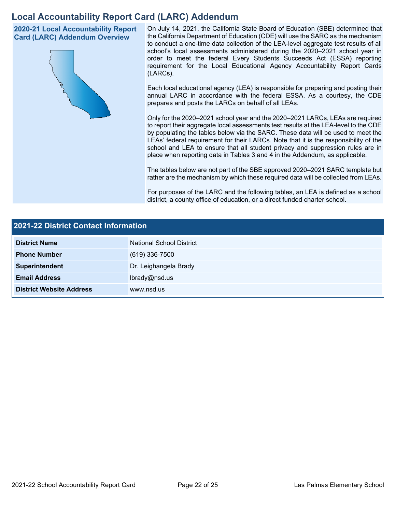# **Local Accountability Report Card (LARC) Addendum**

**2020-21 Local Accountability Report Card (LARC) Addendum Overview** 



 On July 14, 2021, the California State Board of Education (SBE) determined that the California Department of Education (CDE) will use the SARC as the mechanism to conduct a one-time data collection of the LEA-level aggregate test results of all school's local assessments administered during the 2020–2021 school year in order to meet the federal Every Students Succeeds Act (ESSA) reporting requirement for the Local Educational Agency Accountability Report Cards (LARCs).

Each local educational agency (LEA) is responsible for preparing and posting their annual LARC in accordance with the federal ESSA. As a courtesy, the CDE prepares and posts the LARCs on behalf of all LEAs.

 to report their aggregate local assessments test results at the LEA-level to the CDE by populating the tables below via the SARC. These data will be used to meet the Only for the 2020–2021 school year and the 2020–2021 LARCs, LEAs are required LEAs' federal requirement for their LARCs. Note that it is the responsibility of the school and LEA to ensure that all student privacy and suppression rules are in place when reporting data in Tables 3 and 4 in the Addendum, as applicable.

The tables below are not part of the SBE approved 2020–2021 SARC template but rather are the mechanism by which these required data will be collected from LEAs.

For purposes of the LARC and the following tables, an LEA is defined as a school district, a county office of education, or a direct funded charter school.

| 2021-22 District Contact Information |                          |  |  |
|--------------------------------------|--------------------------|--|--|
| <b>District Name</b>                 | National School District |  |  |
| <b>Phone Number</b>                  | $(619)$ 336-7500         |  |  |
| Superintendent                       | Dr. Leighangela Brady    |  |  |
| <b>Email Address</b>                 | lbrady@nsd.us            |  |  |
| <b>District Website Address</b>      | www.nsd.us               |  |  |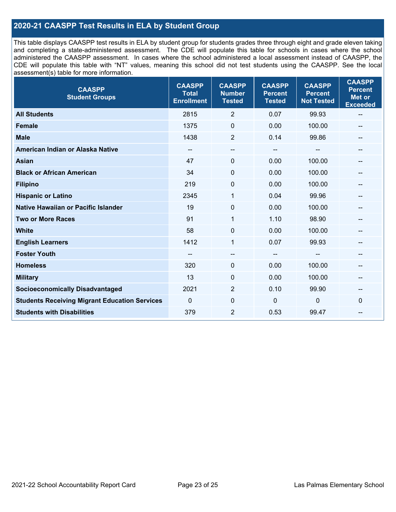# **2020-21 CAASPP Test Results in ELA by Student Group**

 and completing a state-administered assessment. The CDE will populate this table for schools in cases where the school CDE will populate this table with "NT" values, meaning this school did not test students using the CAASPP. See the local This table displays CAASPP test results in ELA by student group for students grades three through eight and grade eleven taking administered the CAASPP assessment. In cases where the school administered a local assessment instead of CAASPP, the assessment(s) table for more information.

| <b>CAASPP</b><br><b>Student Groups</b>               | <b>CAASPP</b><br><b>Total</b><br><b>Enrollment</b> | <b>CAASPP</b><br><b>Number</b><br><b>Tested</b> | <b>CAASPP</b><br><b>Percent</b><br><b>Tested</b> | <b>CAASPP</b><br><b>Percent</b><br><b>Not Tested</b> | <b>CAASPP</b><br><b>Percent</b><br><b>Met or</b><br><b>Exceeded</b> |
|------------------------------------------------------|----------------------------------------------------|-------------------------------------------------|--------------------------------------------------|------------------------------------------------------|---------------------------------------------------------------------|
| <b>All Students</b>                                  | 2815                                               | $\overline{2}$                                  | 0.07                                             | 99.93                                                | $\overline{\phantom{m}}$                                            |
| <b>Female</b>                                        | 1375                                               | $\mathbf 0$                                     | 0.00                                             | 100.00                                               |                                                                     |
| <b>Male</b>                                          | 1438                                               | $\overline{2}$                                  | 0.14                                             | 99.86                                                | --                                                                  |
| American Indian or Alaska Native                     | --                                                 | --                                              | $\overline{\phantom{a}}$                         | --                                                   | --                                                                  |
| <b>Asian</b>                                         | 47                                                 | 0                                               | 0.00                                             | 100.00                                               |                                                                     |
| <b>Black or African American</b>                     | 34                                                 | 0                                               | 0.00                                             | 100.00                                               |                                                                     |
| <b>Filipino</b>                                      | 219                                                | 0                                               | 0.00                                             | 100.00                                               |                                                                     |
| <b>Hispanic or Latino</b>                            | 2345                                               | 1                                               | 0.04                                             | 99.96                                                |                                                                     |
| <b>Native Hawaiian or Pacific Islander</b>           | 19                                                 | 0                                               | 0.00                                             | 100.00                                               |                                                                     |
| <b>Two or More Races</b>                             | 91                                                 | $\mathbf{1}$                                    | 1.10                                             | 98.90                                                | --                                                                  |
| <b>White</b>                                         | 58                                                 | $\Omega$                                        | 0.00                                             | 100.00                                               | $\hspace{0.05cm}$                                                   |
| <b>English Learners</b>                              | 1412                                               | $\mathbf{1}$                                    | 0.07                                             | 99.93                                                |                                                                     |
| <b>Foster Youth</b>                                  |                                                    | $\overline{\phantom{a}}$                        | $-$                                              |                                                      |                                                                     |
| <b>Homeless</b>                                      | 320                                                | 0                                               | 0.00                                             | 100.00                                               | --                                                                  |
| <b>Military</b>                                      | 13                                                 | 0                                               | 0.00                                             | 100.00                                               | --                                                                  |
| <b>Socioeconomically Disadvantaged</b>               | 2021                                               | $\overline{2}$                                  | 0.10                                             | 99.90                                                | --                                                                  |
| <b>Students Receiving Migrant Education Services</b> | $\mathbf{0}$                                       | $\mathbf 0$                                     | $\mathbf 0$                                      | 0                                                    | $\Omega$                                                            |
| <b>Students with Disabilities</b>                    | 379                                                | $\overline{2}$                                  | 0.53                                             | 99.47                                                |                                                                     |